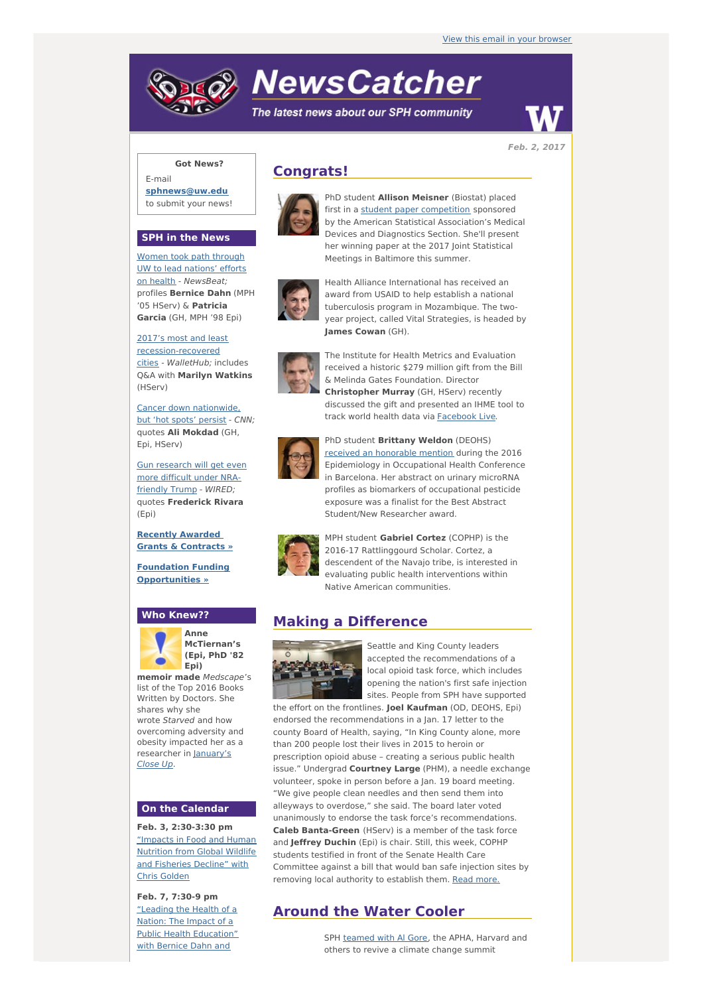# **NewsCatcher**

The latest news about our SPH community



**Feb. 2, 2017**

## **Got News?**

E-mail **[sphnews@uw.edu](mailto:sphnews@uw.edu)** to submit your news!

#### **SPH in the News**

Women took path through UW to lead nations' efforts on health - [NewsBeat;](http://engage.washington.edu/site/R?i=_2Y-YYInjLHqdSma9J2vLA) profiles **Bernice Dahn** (MPH '05 HServ) & **Patricia Garcia** (GH, MPH '98 Epi)

2017's most and least [recession-recovered](http://engage.washington.edu/site/R?i=_-Q6q4n1Yz6Mi31X1xtkEw) cities - WalletHub; includes Q&A with **Marilyn Watkins** (HServ)

Cancer down [nationwide,](http://engage.washington.edu/site/R?i=o_WZKwOcomJErZW9zyauOQ) but 'hot spots' persist - CNN; quotes **Ali Mokdad** (GH, Epi, HServ)

Gun [research](http://engage.washington.edu/site/R?i=BrZR6DDwZIS0Z2NXhAtEzQ) will get even more difficult under NRAfriendly Trump - WIRED; quotes **Frederick Rivara** (Epi)

**Recently [Awarded](http://engage.washington.edu/site/R?i=U2DW82sTuFmtHtcmE7KBxg) Grants & Contracts »**

**Foundation Funding [Opportunities](http://engage.washington.edu/site/R?i=C60UxNZhzrWB9nbFAsjZnA) »**

## **Who Knew??**



**Anne McTiernan's (Epi, PhD '82 Epi)**

**memoir made** Medscape's list of the Top 2016 Books Written by Doctors. She shares why she wrote Starved and how overcoming adversity and obesity impacted her as a [researcher](http://engage.washington.edu/site/R?i=1fMSt-qe8Tk1x9zlFHRlAQ) in January's Close Up.

### **On the Calendar**

**Feb. 3, 2:30-3:30 pm** ["Impacts](http://engage.washington.edu/site/R?i=ngQvNSR9T0fiVl_iIRQcBg) in Food and Human Nutrition from Global Wildlife and Fisheries Decline" with Chris Golden

**Feb. 7, 7:30-9 pm** "Leading the Health of a Nation: The Impact of a Public Health [Education"](http://engage.washington.edu/site/R?i=SxIsWpseeMpGALjkPzPjUw) with Bernice Dahn and

# **Congrats!**



PhD student **Allison Meisner** (Biostat) placed first in a student paper [competition](http://engage.washington.edu/site/R?i=ftxhexeT4iC-VQGDHb7KcQ) sponsored by the American Statistical Association's Medical Devices and Diagnostics Section. She'll present her winning paper at the 2017 Joint Statistical Meetings in Baltimore this summer.



year project, called Vital Strategies, is headed by **James Cowan** (GH). The Institute for Health Metrics and Evaluation

Health Alliance International has received an award from USAID to help establish a national tuberculosis program in Mozambique. The two-



received a historic \$279 million gift from the Bill & Melinda Gates Foundation. Director **Christopher Murray** (GH, HServ) recently discussed the gift and presented an IHME tool to track world health data via [Facebook](http://engage.washington.edu/site/R?i=kHut7aEc7lBtEUrxTjRbUw) Live.



PhD student **Brittany Weldon** (DEOHS) received an [honorable](http://engage.washington.edu/site/R?i=dI1NOPXLbwv1OBY8tlX_9g) mention during the 2016 Epidemiology in Occupational Health Conference in Barcelona. Her abstract on urinary microRNA profiles as biomarkers of occupational pesticide exposure was a finalist for the Best Abstract Student/New Researcher award.



MPH student **Gabriel Cortez** (COPHP) is the 2016-17 Rattlinggourd Scholar. Cortez, a descendent of the Navajo tribe, is interested in evaluating public health interventions within Native American communities.

# **Making a Difference**



Seattle and King County leaders accepted the recommendations of a local opioid task force, which includes opening the nation's first safe injection sites. People from SPH have supported

the effort on the frontlines. **Joel Kaufman** (OD, DEOHS, Epi) endorsed the recommendations in a Jan. 17 letter to the county Board of Health, saying, "In King County alone, more than 200 people lost their lives in 2015 to heroin or prescription opioid abuse – creating a serious public health issue." Undergrad **Courtney Large** (PHM), a needle exchange volunteer, spoke in person before a Jan. 19 board meeting. "We give people clean needles and then send them into alleyways to overdose," she said. The board later voted unanimously to endorse the task force's recommendations. **Caleb Banta-Green** (HServ) is a member of the task force and **Jeffrey Duchin** (Epi) is chair. Still, this week, COPHP students testified in front of the Senate Health Care Committee against a bill that would ban safe injection sites by removing local authority to establish them. Read [more.](http://engage.washington.edu/site/R?i=jJk359nRfzbftF4jB4KeZQ)

# **Around the Water Cooler**

SPH [teamed](http://engage.washington.edu/site/R?i=6QQ9yjGS6TpW78ZcLRcojQ) with Al Gore, the APHA, Harvard and others to revive a climate change summit